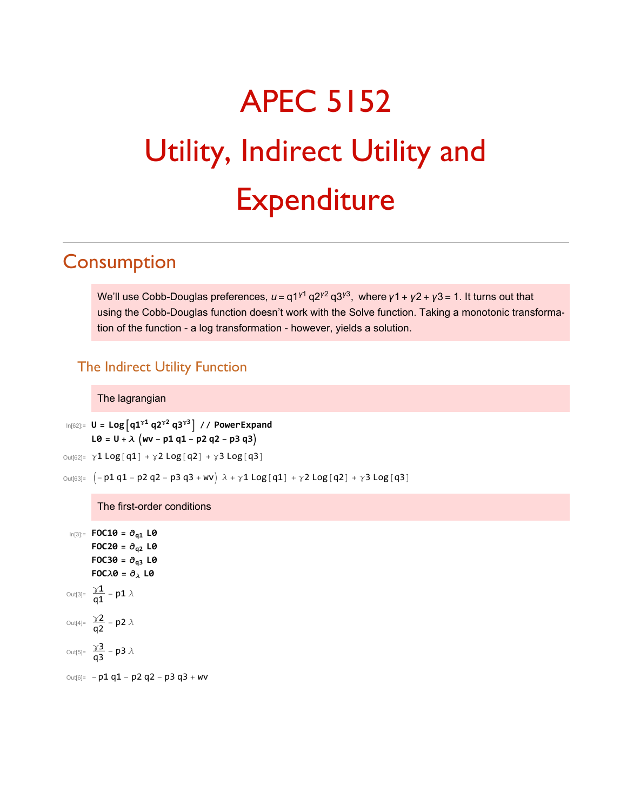# APEC 5152 Utility, Indirect Utility and **Expenditure**

## **Consumption**

We'll use Cobb-Douglas preferences,  $u = q1^{y_1} q2^{y_2} q3^{y_3}$ , where  $y_1 + y_2 + y_3 = 1$ . It turns out that using the Cobb-Douglas function doesn't work with the Solve function. Taking a monotonic transformation of the function - a log transformation - however, yields a solution.

### The Indirect Utility Function

#### The lagrangian

```
In[62]:= U = Logq1γ1 q2γ2 q3γ3 // PowerExpand
      L0 = U + \lambda (wv - p1 q1 - p2 q2 - p3 q3)
```

```
Out[62]= γ1 Log[q1] + γ2 Log[q2] + γ3 Log[q3]
```

```
\text{Out[63]} = \left(-p1 q1 - p2 q2 - p3 q3 + wv \right) \lambda + \gamma 1 \text{Log}[q1] + \gamma 2 \text{Log}[q2] + \gamma 3 \text{Log}[q3] \right)
```
The first-order conditions

In[3]:= **FOC10 = ∂q1 L0**  $FOC20 = \partial_{a2}$  **L0**  $FOC30 = \partial_{q3}$  **L0 FOC** $\lambda$ **0** =  $\partial_{\lambda}$  **L0** Out[3]=  $\frac{\gamma_1}{q_1}$  – p1  $\lambda$ Out[4]=  $\frac{\gamma 2}{q^2}$  – p2  $\lambda$ Out[5]=  $\frac{\gamma 3}{q3} - p3 \lambda$  $Out[6] = -p1 q1 - p2 q2 - p3 q3 + WV$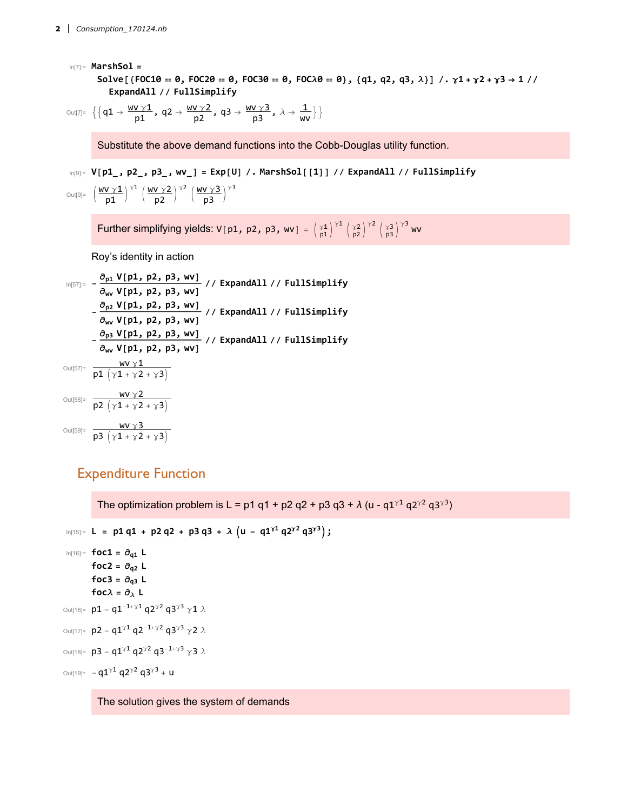```
In[7]:= MarshSol =
      Solve [{FOC10 == 0, FOC20 == 0, FOC30 == 0, FOC\lambda0 == 0}, {q1, q2, q3, \lambda}] /. \gamma1 + \gamma2 + \gamma3 → 1//
          ExpandAll // FullSimplify
```

```
\text{Out}[7] = \left\{ \left\{ q1 \rightarrow \frac{WV \gamma 1}{p1}, q2 \rightarrow \frac{WV \gamma 2}{p2}, q3 \rightarrow \frac{WV \gamma 3}{p3}, \lambda \rightarrow \frac{1}{WV} \right\} \right\}
```
Substitute the above demand functions into the Cobb-Douglas utility function.

```
In[9]= V[p1_, p2_, p3_, wv_] = Exp[U] /. MarshSol[[1]] // ExpandAll // FullSimplify
```

```
\text{Out[9]} = \left(\frac{\text{WV} \times 1}{\text{p1}}\right)^{\times 1} \left(\frac{\text{WV} \times 2}{\text{p2}}\right)^{\times 2} \left(\frac{\text{WV} \times 3}{\text{p3}}\right)^{\times 3}
```
Further simplifying yields: <code>V[p1, p2, p3, wv]</code> =  $\left(\frac{\gamma 1}{p1}\right)^{\gamma 1} \left(\frac{\gamma 2}{p2}\right)^{\gamma 2} \left(\frac{\gamma 3}{p3}\right)^{\gamma 3}$  wv

Roy's identity in action

$$
\ln[\frac{57}{3}] = -\frac{\partial_{p1} V[p1, p2, p3, wV]}{\partial_{wV} V[p1, p2, p3, wV]} // ExpandAll // FullSimplify\n-\frac{\partial_{p2} V[p1, p2, p3, wV]}{\partial_{wV} V[p1, p2, p3, wV]} // ExpandAll // FullSimplify\n-\frac{\partial_{p3} V[p1, p2, p3, wV]}{\partial_{wV} V[p1, p2, p3, wV]} // ExpandAll // FullSimplify\n
$$
\n
$$
\frac{\partial_{VV} V[1, p2, p3, wV]}{\partial_{VV} V[p1, p2, p3, wV]} // ExpandAll // FullSimplify\n
$$
\n
$$
\frac{\partial_{VV} V1}{\partial V[1, p2, p3, wV]} = \frac{\partial_{VV} V2}{\partial V[1, p2, p3, wV]} \times \frac{\partial_{VV} V3}{\partial V[1, p2, p3, wV]} = \frac{\partial_{VV} V2}{\partial V[1, p2, p3, wV]} \times \frac{\partial_{VV} V4}{\partial V[1, p2, p3, wV]} = \frac{\partial_{VV} V2}{\partial V[1, p2, p3, wV]} \times \frac{\partial_{VV}}{\partial V[1, p2, p3, wV]} = \frac{\partial_{VV}}{\partial V[1, p2, p3, wV]} \times \frac{\partial_{VV}}{\partial V[1, p2, p3, wV]} = \frac{\partial_{VV}}{\partial V[1, p2, p3, wV]} \times \frac{\partial_{VV}}{\partial V[1, p2, p3, wV]} = \frac{\partial_{VV}}{\partial V[1, p2, p3, wV]} \times \frac{\partial_{VV}}{\partial V[1, p2, p3, wV]} = \frac{\partial_{VV}}{\partial V[1, p2, p3, wV]} \times \frac{\partial_{VV}}{\partial V[1, p2, p3, wV]} = \frac{\partial_{VV}}{\partial V[1, p2, p3, wV]} \times \frac{\partial_{VV}}{\partial V[1, p2, p3, wV]} = \frac{\partial_{VV}}{\partial V[1, p2, p3, wV]} \times \frac{\partial_{VV}}{\partial V[1, p2, p3, wV]} = \frac{\partial_{VV}}{\partial V[1, p2, p3, wV]} \times \frac{\partial_{VV}}{\partial V[1, p2, p3, wV]} = \frac{\partial_{V
$$

#### Expenditure Function

The optimization problem is L = p1 q1 + p2 q2 + p3 q3 +  $\lambda$  (u - q1<sup> $\gamma$ 1</sup> q2<sup> $\gamma$ 2</sup> q3<sup> $\gamma$ 3</sup>)

```
In[15]:= L = p1 q1 + p2 q2 + p3 q3 + λ u - q1γ1 q2γ2 q3γ3;
 In[16]:= foc1 = ∂q1 L
           foc2 = \partial_{q2} Lfoc3 = \partial_{q3} Lfoc\lambda = \partial_{\lambda} L
Out[16]= p1 - q1^{-1+\gamma 1} q2^{\gamma 2} q3^{\gamma 3} \gamma 1 \lambdaOut[17]= p2 - q1^{\gamma 1} q2^{-1+\gamma 2} q3^{\gamma 3} \gamma 2 \lambdaOut[18]= p3 - q1^{\gamma 1} q2^{\gamma 2} q3^{-1+\gamma 3} \gamma 3 \lambdaOut[19]= -q1^{\gamma 1} q2^{\gamma 2} q3^{\gamma 3} + u
```
The solution gives the system of demands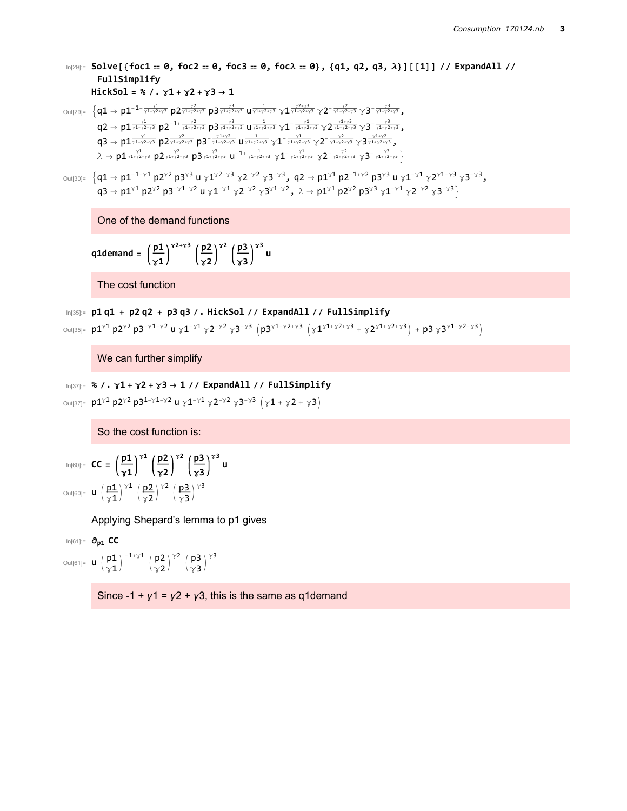$\ln[29]$ : Solve [{foc1 == 0, foc2 == 0, foc3 == 0, foc $\lambda$  == 0}, {q1, q2, q3,  $\lambda$ }] [[1]] // ExpandAll // **FullSimplify HickSol = % /. γ1 + γ2 + γ3 → 1**

 $\text{Out[29]} = \Big\{ \textsf{q1} \to \textsf{p1}^{-1 + \frac{\gamma 1}{\gamma 1 + \gamma 2 + \gamma 3}} \ \textsf{p2}^{\frac{\gamma 2}{\gamma 1 + \gamma 2 + \gamma 3}} \ \textsf{p3}^{\frac{\gamma 3}{\gamma 1 + \gamma 2 + \gamma 3}} \ \textsf{u1}^{\frac{1}{\gamma 1 + \gamma 2 + \gamma 3}} \ \textsf{y1}^{\frac{\gamma 2 + \gamma 3}{\gamma 1 + \gamma 2 + \gamma 3}} \ \textsf{y2}^{-\frac{\gamma 2}{\gamma 1 + \gamma 2 + \gamma 3}} \ \textsf{y3}$  $\textsf{q2}\to \textsf{p1}^{\frac{\gamma 1}{\gamma 1+\gamma 2+\gamma 3}} \textsf{p2}^{-1+\frac{\gamma 2}{\gamma 1+\gamma 2+\gamma 3}} \textsf{p3}^{\frac{\gamma 3}{\gamma 1+\gamma 2+\gamma 3}} \textsf{u}^{\frac{1}{\gamma 1+\gamma 2+\gamma 3}} \textsf{y1}^{-\frac{\gamma 1}{\gamma 1+\gamma 2+\gamma 3}} \textsf{y2}^{\frac{\gamma 1+\gamma 3}{\gamma 1+\gamma 2+\gamma 3}} \textsf{y3}^{-\frac{\gamma 3}{\gamma 1+\gamma 2+\gamma 3}}$  $\textsf{q3}\to \textsf{p1} \frac{\gamma 1}{\gamma 1+\gamma 2+\gamma 3}\ \textsf{p2} \frac{\gamma 2}{\gamma 1+\gamma 2+\gamma 3}\ \textsf{p3}^{-\frac{\gamma 1+\gamma 2}{\gamma 1+\gamma 2+\gamma 3}}\ \textsf{u1}^{-\frac{\gamma 1}{\gamma 1+\gamma 2+\gamma 3}}\ \gamma 1^{-\frac{\gamma 1}{\gamma 1+\gamma 2+\gamma 3}}\ \gamma 2^{-\frac{\gamma 2}{\gamma 1+\gamma 2+\gamma 3}}\ \gamma 3^{\frac{\gamma 1+\gamma 2}{\gamma 1+\gamma 2+\gamma 3}}\ ,$  $\lambda \to \text{p1} \frac{\gamma 1}{\gamma 1+\gamma 2+\gamma 3} \ \text{p2} \frac{\gamma 2}{\gamma 1+\gamma 2+\gamma 3} \ \text{u}^{-1+\frac{1}{\gamma 1+\gamma 2+\gamma 3}} \ \gamma 1^{-\frac{\gamma 1}{\gamma 1+\gamma 2+\gamma 3}} \ \gamma 2^{-\frac{\gamma 2}{\gamma 1+\gamma 2+\gamma 3}} \ \gamma 3^{-\frac{\gamma 3}{\gamma 1+\gamma 2+\gamma 3}} \}$ 

```
\text{Out[30]} = \left\{ q1 \rightarrow p1^{-1+\gamma 1} p2^{\gamma 2} p3^{\gamma 3} u \gamma 1^{\gamma 2+\gamma 3} \gamma 2^{-\gamma 2} \gamma 3^{-\gamma 3}, q2 \rightarrow p1^{\gamma 1} p2^{-1+\gamma 2} p3^{\gamma 3} u \gamma 1^{-\gamma 1} \gamma 2^{\gamma 1+\gamma 3} \gamma 3^{-\gamma 3}, q2 \rightarrow p1^{\gamma 1} p2^{-1+\gamma 2} p3^{\gamma 3} u \gamma 1^{-\gamma 1} \gamma 2^{\gamma 1+\gamma 3} \gamma 3^{-\gamma 3} \right\}q3 \to p1^{\gamma 1} p2^{\gamma 2} p3^{-\gamma 1-\gamma 2} u \gamma 1^{-\gamma 1} \gamma 2^{-\gamma 2} \gamma 3^{\gamma 1+\gamma 2}, \lambda \to p1^{\gamma 1} p2^{\gamma 2} p3^{\gamma 3} \gamma 1^{-\gamma 1} \gamma 2^{-\gamma 2} \gamma 3^{-\gamma 3}
```
One of the demand functions

q1demand = 
$$
\left(\frac{p1}{\gamma 1}\right)^{\gamma 2 + \gamma 3} \left(\frac{p2}{\gamma 2}\right)^{\gamma 2} \left(\frac{p3}{\gamma 3}\right)^{\gamma 3} u
$$

The cost function

```
In[35]:= p1 q1 + p2 q2 + p3 q3 /. HickSol // ExpandAll // FullSimplify
```

```
Out[35]= p1^{\gamma1} p2^{\gamma2} p3^{-\gamma1-\gamma2} u \gamma1^{-\gamma1} \gamma2^{-\gamma2} \gamma3^{-\gamma3} (p3^{\gamma1+\gamma2+\gamma3} (\gamma1^{\gamma1+\gamma2+\gamma3} + \gamma2^{\gamma1+\gamma2+\gamma3}) + p3 \gamma3^{\gamma1+\gamma2+\gamma3})
```
We can further simplify

```
In[37]:= % /. γ1 + γ2 + γ3 → 1 // ExpandAll // FullSimplify
```

```
Out[37]= p1<sup>γ1</sup> p2<sup>γ2</sup> p3<sup>1-γ1-γ2</sup> u γ1<sup>-γ1</sup> γ2<sup>-γ2</sup> γ3<sup>-γ3</sup> (γ1 + γ2 + γ3)
```
So the cost function is:

```
In[60]:= CC = p1
                                 γ1
                                           γ1 p2
                                                     γ2
                                                                γ2 p3
                                                                          γ3
                                                                                    γ3
u
Out[60]= u \left(\frac{p1}{\gamma1}\right)^{\gamma1} \left(\frac{p2}{\gamma2}\right)^{\gamma2} \left(\frac{p3}{\gamma3}\right)^{\gamma3}
```
Applying Shepard's lemma to p1 gives

In[61]:= **∂p1 CC** Out[61]=  $u \left(\frac{p1}{\gamma 1}\right)^{-1+\gamma 1} \left(\frac{p2}{\gamma 2}\right)^{\gamma 2} \left(\frac{p3}{\gamma 3}\right)^{\gamma 3}$ 

Since -1 +  $y1 = y2 + y3$ , this is the same as q1demand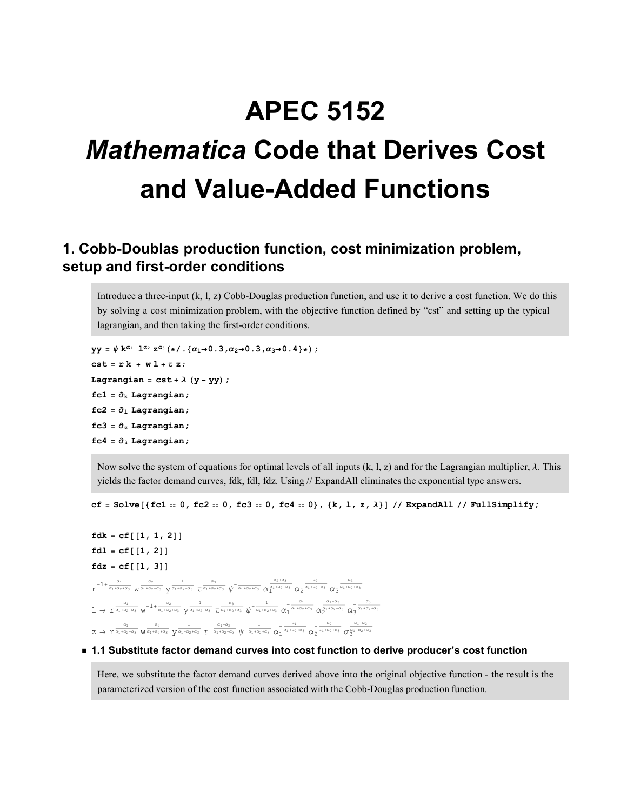# APEC 5152 Mathematica Code that Derives Cost and Value-Added Functions

#### 1. Cobb-Doublas production function, cost minimization problem, setup and first-order conditions

Introduce a three-input (k, l, z) Cobb-Douglas production function, and use it to derive a cost function. We do this by solving a cost minimization problem, with the objective function defined by "cst" and setting up the typical lagrangian, and then taking the first-order conditions.

```
yy = \psi k^{\alpha_1} 1^{\alpha_2} z^{\alpha_3} (*/. {\alpha_1 \rightarrow 0.3, \alpha_2 \rightarrow 0.3, \alpha_3 \rightarrow 0.4}*);
cst = rk + w1 + tz;Lagrangian = cst + \lambda (y - yy);
fc1 = \partial_k Lagrangian;
fc2 = \partial_1 Lagrangian;
fc3 = \partial_z Lagrangian;
fc4 = \partial_{\lambda} Lagrangian;
```
Now solve the system of equations for optimal levels of all inputs (k, l, z) and for the Lagrangian multiplier, λ. This yields the factor demand curves, fdk, fdl, fdz. Using // ExpandAll eliminates the exponential type answers.

cf = Solve[{fc1 = 0, fc2 = 0, fc3 = 0, fc4 = 0}, {k, l, z,  $\lambda$ }] // ExpandAll // FullSimplify;

```
fdk = cf[[1, 1, 2]]fdl = cf[[1, 2]]fdz = cf[[1, 3]]\int_{0}^{\infty-1+\frac{\alpha_{1}}{\alpha_{1}+\alpha_{2}+\alpha_{3}}} w^{\frac{\alpha_{2}}{\alpha_{1}+\alpha_{2}+\alpha_{3}}} \int_{0}^{\frac{1}{\alpha_{1}+\alpha_{2}+\alpha_{3}}} \frac{a_{3}}{\alpha_{3}+\alpha_{2}+\alpha_{3}} \sqrt{\int_{0}^{\frac{1}{\alpha_{1}+\alpha_{2}+\alpha_{3}}} \alpha_{1}^{\frac{\alpha_{2}+\alpha_{3}}{\alpha_{1}+\alpha_{2}+\alpha_{3}}} \alpha_{2}^{-\frac{\alpha_{2}}{\alpha_{1}+\alpha_{2}+\alpha_{3}}} \alpha_{3}^{-\frac{\alpha_{3}}{\alpha_{1}+\alpha_{2}+\alpha_{1 \rightarrow r^{\frac{\alpha_1}{\alpha_1+\alpha_2+\alpha_3}} w^{-1+\frac{\alpha_2}{\alpha_1+\alpha_2+\alpha_3}} y^{\frac{1}{\alpha_1+\alpha_2+\alpha_3}} \frac{1}{\alpha_1+\alpha_2+\alpha_3} \psi^{-\frac{1}{\alpha_1+\alpha_2+\alpha_3}} \alpha_1^{-\frac{\alpha_1}{\alpha_1+\alpha_2+\alpha_3}} \alpha_2^{\frac{\alpha_1+\alpha_2}{\alpha_1+\alpha_2+\alpha_3}} \alpha_3^{-\frac{\alpha_3}{\alpha_1+\alpha_2+\alpha_3}}z \to r^{\frac{\alpha_1}{\alpha_1+\alpha_2+\alpha_3}} \frac{a_2}{\sqrt{\alpha_1+\alpha_2+\alpha_3}} \frac{1}{\sqrt{\alpha_1+\alpha_2+\alpha_3}} \frac{1}{\sqrt{\alpha_1+\alpha_2+\alpha_3}} \sqrt[{}]{-\frac{1}{\alpha_1+\alpha_2+\alpha_3}} \frac{a_1}{\alpha_1} \frac{a_2}{\alpha_1+\alpha_2+\alpha_3} \frac{a_2}{\alpha_2} \frac{a_1+a_2}{\alpha_1+\alpha_2+\alpha_3} \frac{a_1+a_2}{\alpha_3} \frac{a_2}{\alpha_4}
```
#### ■ 1.1 Substitute factor demand curves into cost function to derive producer's cost function

Here, we substitute the factor demand curves derived above into the original objective function - the result is the parameterized version of the cost function associated with the Cobb-Douglas production function.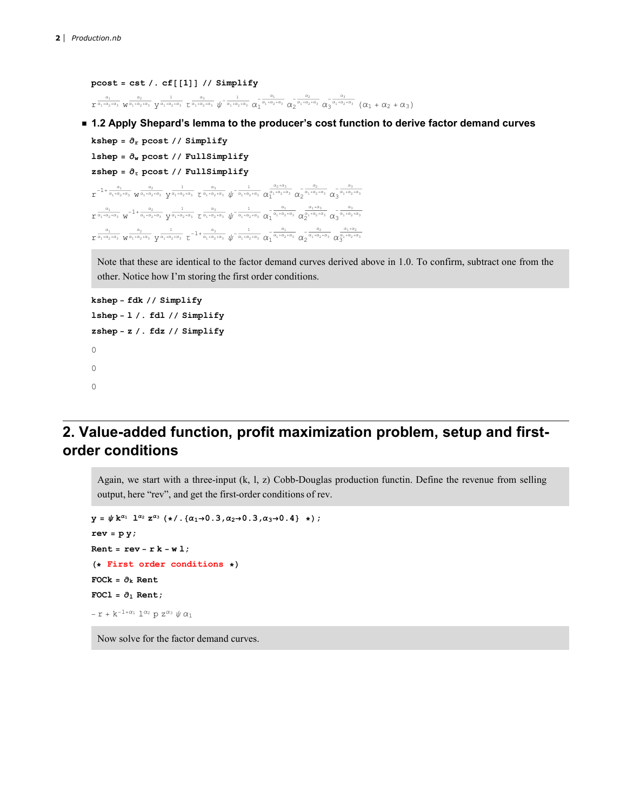```
\texttt{pcost} = \texttt{cst} / . \texttt{cf}[[1]] // \texttt{Simplify}\frac{\alpha_1}{\alpha_1+\alpha_2+\alpha_3} \frac{\alpha_2}{\sqrt{\alpha_1+\alpha_2+\alpha_3}} \frac{1}{\alpha_1+\alpha_2+\alpha_3} \frac{\alpha_3}{\alpha_1+\alpha_2+\alpha_3} \frac{1}{\sqrt{\alpha_1+\alpha_2+\alpha_3}} \frac{\alpha_1}{\alpha_1+\alpha_2+\alpha_3} \frac{\alpha_2}{\alpha_2} \frac{\alpha_2}{\alpha_1+\alpha_2+\alpha_3} \frac{\alpha_3}{\alpha_3} \frac{\alpha_3}{\alpha_1+\alpha_2+\alpha_3} \left(\alpha_1
```
■ 1.2 Apply Shepard's lemma to the producer's cost function to derive factor demand curves

```
kshep = \partial_r pcost // Simplify
lshep = \partial_w pcost // FullSimplify
zshep = \partial_{\tau} pcost // FullSimplify
  \mathfrak{r}^{-1 + \frac{\alpha_1}{\alpha_1 + \alpha_2 + \alpha_3}} \mathsf{w}^{\frac{\alpha_2}{\alpha_1 + \alpha_2 + \alpha_3}} \mathsf{y}^{\frac{1}{\alpha_1 + \alpha_2 + \alpha_3}} \tau^{\frac{\alpha_3}{\alpha_1 + \alpha_2 + \alpha_3}} \psi^{-\frac{1}{\alpha_1 + \alpha_2 + \alpha_3}} \alpha_1^{\frac{\alpha_2 + \alpha_3}{\alpha_1 + \alpha_2 + \alpha_3}} \alpha_2^{-\frac{\alpha_2}{\alpha_1 + \alpha_2 + \alpha_3}} \alpha_3^{-\frac{\alpha_3}{\alpha_1 + \alpha_2 + \alpha_\frac{\alpha_1}{\alpha_1+\alpha_2+\alpha_3} w<sup>-1+</sup>\frac{\alpha_2}{\alpha_1+\alpha_2+\alpha_3} \frac{1}{\alpha_1+\alpha_2+\alpha_3} \frac{\alpha_3}{\alpha_1+\alpha_2+\alpha_3} \sqrt[1]{-\frac{1}{\alpha_1+\alpha_2+\alpha_3}} \frac{\alpha_1}{\alpha_1} \frac{\alpha_1+\alpha_2}{\alpha_2} \frac{\alpha_1+\alpha_3}{\alpha_2} \frac{\alpha_3}{\alpha_3} \frac{\alpha_3}{\alpha_1+\alpha_2+\alpha_3}\frac{a_1}{\sqrt{\alpha_1+a_2+a_3}} \frac{a_2}{\sqrt{\alpha_1+a_2+a_3}} \frac{1}{\sqrt{\alpha_1+a_2+a_3}} \frac{a_3}{\sqrt{\alpha_1+a_2+a_3}} \sqrt{\sqrt{\alpha_1+a_2+a_3}} \frac{a_1}{\sqrt{\alpha_1+a_2+a_3}} \frac{a_2}{\sqrt{\alpha_1+a_2+a_3}} \frac{a_3}{\sqrt{\alpha_2+a_1+a_2+a_3}}
```
Note that these are identical to the factor demand curves derived above in 1.0. To confirm, subtract one from the other. Notice how I'm storing the first order conditions.

```
kshep - fdk // Simplify
lshep - l /. fdl // Simplify
zshep - z /. fdz // Simplify
\Omega0
0
```
### 2. Value-added function, profit maximization problem, setup and firstorder conditions

Again, we start with a three-input (k, l, z) Cobb-Douglas production functin. Define the revenue from selling output, here "rev", and get the first-order conditions of rev.

```
y = \psi k^{\alpha_1} 1^{\alpha_2} z^{\alpha_3} (\star) . {\alpha_1 \rightarrow 0.3, \alpha_2 \rightarrow 0.3, \alpha_3 \rightarrow 0.4} ;rev = py;Rent = rev - r k - w l;
(* First order conditions *)
FOCk = \partial_k Rent
FOCl = \partial_1 Rent;
 – r + k<sup>-1+α</sup><br/>ı1^{\alpha_2}p z^{\alpha_3}<br/>\psi \alpha_1
```
Now solve for the factor demand curves.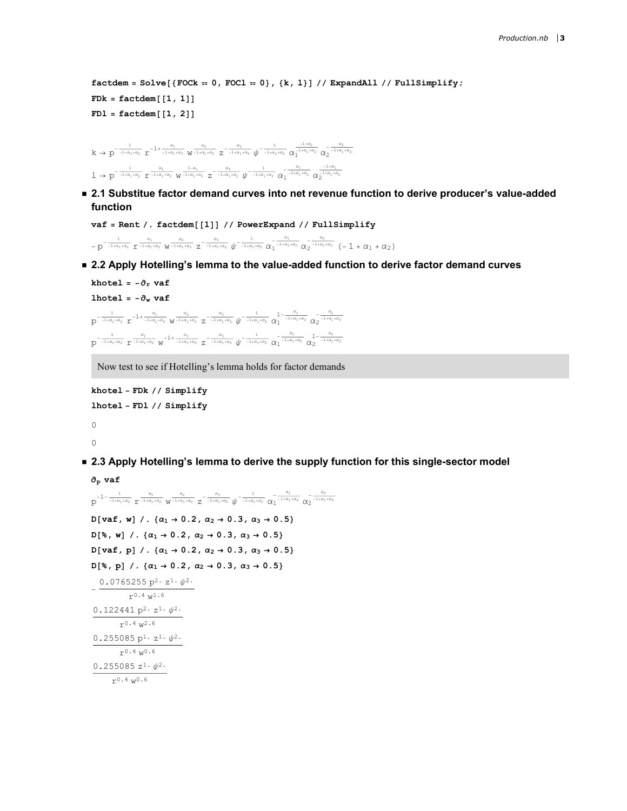```
factor = Solve [{Fock = 0, FOL = 0}, {k, 1}] // ExpandAll // FullSimplify;FDR = factdem[[1, 1]]FD1 = factdem[[1, 2]]
```

```
k \to p^{-\frac{1}{-1+\alpha_1+\alpha_2}} r^{-1+\frac{\alpha_1}{-1+\alpha_1+\alpha_2}} w^{-\frac{\alpha_2}{-1+\alpha_1+\alpha_2}} z^{-\frac{\alpha_3}{-1+\alpha_1+\alpha_2}} \psi^{-\frac{1}{-1+\alpha_1+\alpha_2}} \alpha_1^{-1}\frac{\frac{-1+\alpha_2}{-1+\alpha_1+\alpha_2}}{1} \alpha_2^{-\frac{\alpha_2}{-1+\alpha_1+\alpha_2}}1 \to p^{-\frac{1}{-1+\alpha_1+\alpha_2}} 1^{-\frac{\alpha_1}{-1+\alpha_1+\alpha_2}} \frac{1-\alpha_1}{\sqrt{1+\alpha_1+\alpha_2}} 1^{-\frac{\alpha_3}{-1+\alpha_1+\alpha_2}} \sqrt[1]{-\frac{1}{-1+\alpha_1+\alpha_2}} \alpha_1^{-\frac{\alpha_1}{-1+\alpha_1+\alpha_2}} \alpha_2^{-\frac{1+\alpha_1}{1+\alpha_1+\alpha_2}}
```
■ 2.1 Substitue factor demand curves into net revenue function to derive producer's value-added function

```
vaf = Rent /. factdem[[1]] // PowerExpand // FullSimplify
 -p^{-\frac{1}{-1+\alpha_1+\alpha_2}}\,\,r^{\frac{\alpha_1}{-1+\alpha_1+\alpha_2}}\,\,w^{\frac{\alpha_2}{-1+\alpha_1+\alpha_2}}\,\,z^{-\frac{\alpha_3}{-1+\alpha_1+\alpha_2}}\,\,\psi^{-\frac{1}{-1+\alpha_1+\alpha_2}}\,\,\alpha_1^{-\frac{\alpha_1}{-1+\alpha_1+\alpha_2}}\,\,\alpha_2^{-\frac{\alpha_2}{-1+\alpha_1+\alpha_2}}\,\,(-\,1\,+\,\alpha_1\,+\,\alpha_2\,)
```
■ 2.2 Apply Hotelling's lemma to the value-added function to derive factor demand curves

```
khotel = -\partial_r vaf
lhotel = -\partial_w vaf
 p^{-\frac{1}{1+\alpha_1+\alpha_2}} r^{-1+\frac{\alpha_1}{1+\alpha_1+\alpha_2}} w^{-\frac{\alpha_2}{1+\alpha_1+\alpha_2}} z^{-\frac{\alpha_3}{1+\alpha_1+\alpha_2}} \psi^{-\frac{1}{-1+\alpha_1+\alpha_2}} \alpha_1^{1-\frac{\alpha_1}{-1+\alpha_1+\alpha_2}} \alpha_2^{-\frac{\alpha_2}{-1+\alpha_1+\alpha_2}}p^{-\frac{1}{1+a_1+a_2}} r^{\frac{a_1}{1+a_1+a_2}} w^{-1+\frac{a_2}{1+a_1+a_2}} z^{-\frac{a_3}{1+a_1+a_2}} \psi^{-\frac{1}{1+a_1+a_2}} \alpha_1^{-\frac{a_1}{1+a_1+a_2}} \alpha_2^{-1-\frac{a_2}{1+a_1+a_2}}
```
Now test to see if Hotelling's lemma holds for factor demands

```
khotel - FDk // Simplify
lhotel - FDl // Simplify
0
0
```
■ 2.3 Apply Hotelling's lemma to derive the supply function for this single-sector model

```
∂p vaf
 p^{-1-\frac{1}{-1+\alpha_1+\alpha_2}} \, \frac{\alpha_1}{r^{-1+\alpha_1+\alpha_2}} \, w^{\frac{\alpha_2}{-1+\alpha_1+\alpha_2}} \, z^{-\frac{\alpha_3}{-1+\alpha_1+\alpha_2}} \, \psi^{-\frac{1}{-1+\alpha_1+\alpha_2}} \, \alpha_1^{-\frac{\alpha_1}{-1+\alpha_1+\alpha_2}} \, \alpha_2^{-\frac{\alpha_2}{-1+\alpha_1+\alpha_2}}D[vaf, w] /. \{\alpha_1 \rightarrow 0.2, \alpha_2 \rightarrow 0.3, \alpha_3 \rightarrow 0.5\}D[%, w] /. \{\alpha_1 \rightarrow 0.2, \alpha_2 \rightarrow 0.3, \alpha_3 \rightarrow 0.5\}D[<i>var</i>, p] /. {(<math>\alpha_1 \rightarrow 0.2, \alpha_2 \rightarrow 0.3, \alpha_3 \rightarrow 0.5</math>}D[%, p] /. \{ \alpha_1 \rightarrow 0.2, \alpha_2 \rightarrow 0.3, \alpha_3 \rightarrow 0.5 \}-
  0.0765255 p^2 \cdot z^1 \cdot \psi^2.
                     r^{0.4} w<sup>1.6</sup>
 0.122441 p^2 \cdot z^1 \cdot \psi^2.
              r^{0.4} w^{2.6}0.255085 p<sup>1</sup>·z<sup>1</sup>·ψ<sup>2</sup>·r^{0.4} w<sup>0.6</sup>
 0.255085 z<sup>1</sup>·ψ<sup>2</sup>·r^{0.4} w^{0.6}
```